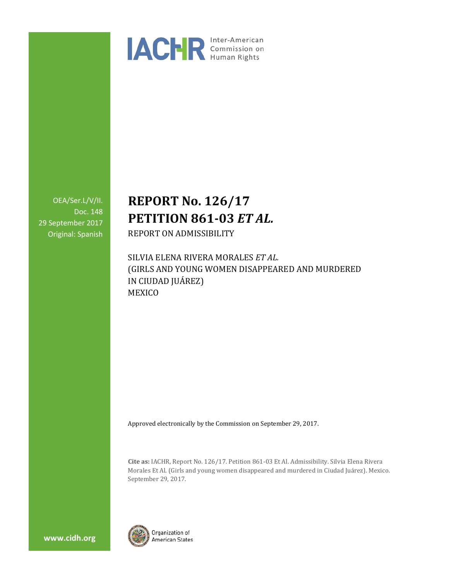

OEA/Ser.L/V/II. Doc. 148 29 September 2017 Original: Spanish

# **REPORT No. 126/17 PETITION 861-03** *ET AL.*

REPORT ON ADMISSIBILITY

SILVIA ELENA RIVERA MORALES *ET AL.* (GIRLS AND YOUNG WOMEN DISAPPEARED AND MURDERED IN CIUDAD JUÁREZ) MEXICO

Approved electronically by the Commission on September 29, 2017.

**Cite as:** IACHR, Report No. 126/17. Petition 861-03 Et Al. Admissibility. Silvia Elena Rivera Morales Et Al. (Girls and young women disappeared and murdered in Ciudad Juárez). Mexico. September 29, 2017.



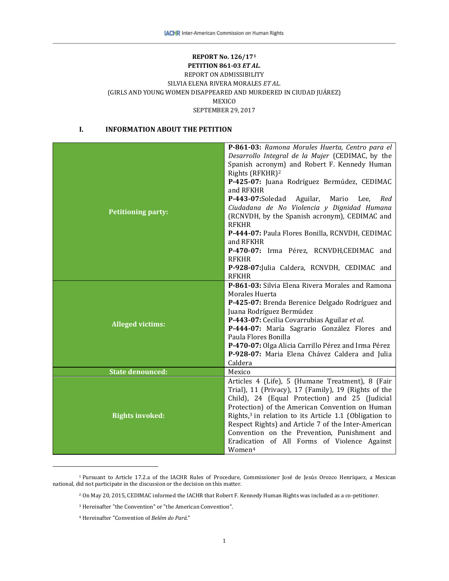# **REPORT No. 126/17[1](#page-1-0) PETITION 861-03** *ET AL.* REPORT ON ADMISSIBILITY SILVIA ELENA RIVERA MORALES *ET AL.* (GIRLS AND YOUNG WOMEN DISAPPEARED AND MURDERED IN CIUDAD JUÁREZ) MEXICO SEPTEMBER 29, 2017

# **I. INFORMATION ABOUT THE PETITION**

| <b>Petitioning party:</b> | P-861-03: Ramona Morales Huerta, Centro para el                    |
|---------------------------|--------------------------------------------------------------------|
|                           | Desarrollo Integral de la Mujer (CEDIMAC, by the                   |
|                           | Spanish acronym) and Robert F. Kennedy Human                       |
|                           | Rights (RFKHR) <sup>2</sup>                                        |
|                           | P-425-07: Juana Rodríguez Bermúdez, CEDIMAC                        |
|                           | and RFKHR                                                          |
|                           | P-443-07:Soledad Aguilar, Mario Lee,<br>Red                        |
|                           | Ciudadana de No Violencia y Dignidad Humana                        |
|                           | (RCNVDH, by the Spanish acronym), CEDIMAC and                      |
|                           | <b>RFKHR</b>                                                       |
|                           | P-444-07: Paula Flores Bonilla, RCNVDH, CEDIMAC                    |
|                           | and RFKHR                                                          |
|                           | P-470-07: Irma Pérez, RCNVDH,CEDIMAC and                           |
|                           | <b>RFKHR</b>                                                       |
|                           |                                                                    |
|                           | P-928-07: Julia Caldera, RCNVDH, CEDIMAC and                       |
|                           | <b>RFKHR</b>                                                       |
|                           | P-861-03: Silvia Elena Rivera Morales and Ramona                   |
|                           | Morales Huerta                                                     |
|                           | P-425-07: Brenda Berenice Delgado Rodríguez and                    |
|                           | Juana Rodríguez Bermúdez                                           |
| <b>Alleged victims:</b>   | P-443-07: Cecilia Covarrubias Aguilar et al.                       |
|                           | P-444-07: María Sagrario González Flores and                       |
|                           | Paula Flores Bonilla                                               |
|                           | P-470-07: Olga Alicia Carrillo Pérez and Irma Pérez                |
|                           | P-928-07: Maria Elena Chávez Caldera and Julia                     |
|                           | Caldera                                                            |
| <b>State denounced:</b>   | Mexico                                                             |
|                           | Articles 4 (Life), 5 (Humane Treatment), 8 (Fair                   |
|                           | Trial), 11 (Privacy), 17 (Family), 19 (Rights of the               |
| <b>Rights invoked:</b>    | Child), 24 (Equal Protection) and 25 (Judicial                     |
|                           | Protection) of the American Convention on Human                    |
|                           | Rights, <sup>3</sup> in relation to its Article 1.1 (Obligation to |
|                           | Respect Rights) and Article 7 of the Inter-American                |
|                           | Convention on the Prevention, Punishment and                       |
|                           |                                                                    |
|                           | Eradication of All Forms of Violence Against                       |
|                           | Women <sup>4</sup>                                                 |

<span id="page-1-3"></span><span id="page-1-2"></span><span id="page-1-1"></span><span id="page-1-0"></span><sup>1</sup> Pursuant to Article 17.2.a of the IACHR Rules of Procedure, Commissioner José de Jesús Orozco Henríquez, a Mexican national, did not participate in the discussion or the decision on this matter.

j

<sup>2</sup> On May 20, 2015, CEDIMAC informed the IACHR that Robert F. Kennedy Human Rights was included as a co-petitioner.

<sup>3</sup> Hereinafter "the Convention" or "the American Convention".

<sup>4</sup> Hereinafter "Convention of *Belém do Pará*."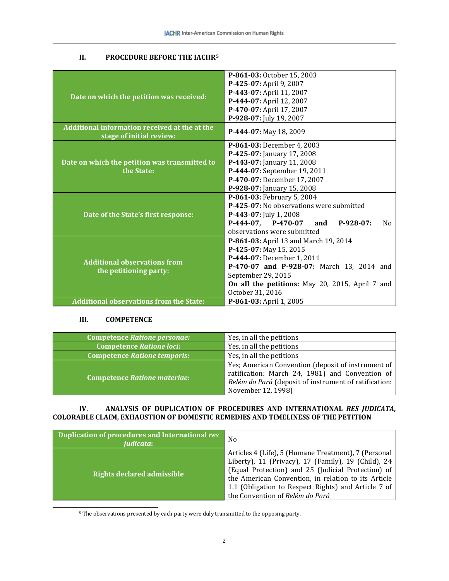# **II. PROCEDURE BEFORE THE IACHR[5](#page-2-0)**

| Date on which the petition was received:                                  | P-861-03: October 15, 2003                           |
|---------------------------------------------------------------------------|------------------------------------------------------|
|                                                                           | P-425-07: April 9, 2007                              |
|                                                                           | P-443-07: April 11, 2007                             |
|                                                                           | P-444-07: April 12, 2007                             |
|                                                                           | P-470-07: April 17, 2007                             |
|                                                                           | P-928-07: July 19, 2007                              |
| Additional information received at the at the<br>stage of initial review: | P-444-07: May 18, 2009                               |
| Date on which the petition was transmitted to                             | P-861-03: December 4, 2003                           |
|                                                                           | P-425-07: January 17, 2008                           |
|                                                                           | P-443-07: January 11, 2008                           |
| the State:                                                                | P-444-07: September 19, 2011                         |
|                                                                           | P-470-07: December 17, 2007                          |
|                                                                           | P-928-07: January 15, 2008                           |
|                                                                           | P-861-03: February 5, 2004                           |
|                                                                           | P-425-07: No observations were submitted             |
| Date of the State's first response:                                       | P-443-07: July 1, 2008                               |
|                                                                           | $P-444-07$ , $P-470-07$<br>and<br>$P-928-07:$<br>No. |
|                                                                           | observations were submitted                          |
|                                                                           | P-861-03: April 13 and March 19, 2014                |
|                                                                           | P-425-07: May 15, 2015                               |
| <b>Additional observations from</b><br>the petitioning party:             | P-444-07: December 1, 2011                           |
|                                                                           | P-470-07 and P-928-07: March 13, 2014 and            |
|                                                                           | September 29, 2015                                   |
|                                                                           | On all the petitions: May 20, 2015, April 7 and      |
|                                                                           | October 31, 2016                                     |
| <b>Additional observations from the State:</b>                            | P-861-03: April 1, 2005                              |

# **III. COMPETENCE**

| <b>Competence Ratione personae:</b> | Yes, in all the petitions                                                                                                                                                            |
|-------------------------------------|--------------------------------------------------------------------------------------------------------------------------------------------------------------------------------------|
| <b>Competence Ratione loci:</b>     | Yes, in all the petitions                                                                                                                                                            |
| Competence Ratione temporis:        | Yes, in all the petitions                                                                                                                                                            |
| <b>Competence Ratione materiae:</b> | Yes; American Convention (deposit of instrument of<br>ratification: March 24, 1981) and Convention of<br>Belém do Pará (deposit of instrument of ratification:<br>November 12, 1998) |

# **IV. ANALYSIS OF DUPLICATION OF PROCEDURES AND INTERNATIONAL** *RES JUDICATA***, COLORABLE CLAIM, EXHAUSTION OF DOMESTIC REMEDIES AND TIMELINESS OF THE PETITION**

| <b>Duplication of procedures and International res</b><br><i>iudicata</i> : | No                                                                                                                                                                                                                                                                                                                 |
|-----------------------------------------------------------------------------|--------------------------------------------------------------------------------------------------------------------------------------------------------------------------------------------------------------------------------------------------------------------------------------------------------------------|
| Rights declared admissible                                                  | Articles 4 (Life), 5 (Humane Treatment), 7 (Personal<br>Liberty), 11 (Privacy), 17 (Family), 19 (Child), 24<br>(Equal Protection) and 25 (Judicial Protection) of<br>the American Convention, in relation to its Article<br>1.1 (Obligation to Respect Rights) and Article 7 of<br>the Convention of Belém do Pará |

<span id="page-2-0"></span>5 The observations presented by each party were duly transmitted to the opposing party.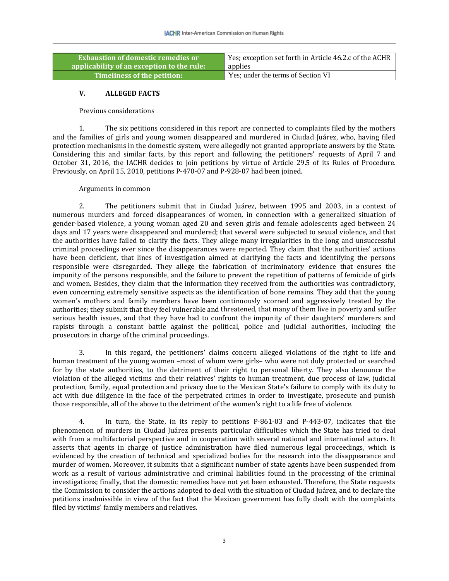| <b>Exhaustion of domestic remedies or .</b> | Yes; exception set forth in Article 46.2.c of the ACHR |
|---------------------------------------------|--------------------------------------------------------|
| applicability of an exception to the rule:  | applies                                                |
| Timeliness of the petition:                 | Yes; under the terms of Section VI                     |

# **V. ALLEGED FACTS**

#### Previous considerations

1. The six petitions considered in this report are connected to complaints filed by the mothers and the families of girls and young women disappeared and murdered in Ciudad Juárez, who, having filed protection mechanisms in the domestic system, were allegedly not granted appropriate answers by the State. Considering this and similar facts, by this report and following the petitioners' requests of April 7 and October 31, 2016, the IACHR decides to join petitions by virtue of Article 29.5 of its Rules of Procedure. Previously, on April 15, 2010, petitions P-470-07 and P-928-07 had been joined.

#### Arguments in common

2. The petitioners submit that in Ciudad Juárez, between 1995 and 2003, in a context of numerous murders and forced disappearances of women, in connection with a generalized situation of gender-based violence, a young woman aged 20 and seven girls and female adolescents aged between 24 days and 17 years were disappeared and murdered; that several were subjected to sexual violence, and that the authorities have failed to clarify the facts. They allege many irregularities in the long and unsuccessful criminal proceedings ever since the disappearances were reported. They claim that the authorities' actions have been deficient, that lines of investigation aimed at clarifying the facts and identifying the persons responsible were disregarded. They allege the fabrication of incriminatory evidence that ensures the impunity of the persons responsible, and the failure to prevent the repetition of patterns of femicide of girls and women. Besides, they claim that the information they received from the authorities was contradictory, even concerning extremely sensitive aspects as the identification of bone remains. They add that the young women's mothers and family members have been continuously scorned and aggressively treated by the authorities; they submit that they feel vulnerable and threatened, that many of them live in poverty and suffer serious health issues, and that they have had to confront the impunity of their daughters' murderers and rapists through a constant battle against the political, police and judicial authorities, including the prosecutors in charge of the criminal proceedings.

3. In this regard, the petitioners' claims concern alleged violations of the right to life and human treatment of the young women –most of whom were girls– who were not duly protected or searched for by the state authorities, to the detriment of their right to personal liberty. They also denounce the violation of the alleged victims and their relatives' rights to human treatment, due process of law, judicial protection, family, equal protection and privacy due to the Mexican State's failure to comply with its duty to act with due diligence in the face of the perpetrated crimes in order to investigate, prosecute and punish those responsible, all of the above to the detriment of the women's right to a life free of violence.

4. In turn, the State, in its reply to petitions P-861-03 and P-443-07, indicates that the phenomenon of murders in Ciudad Juárez presents particular difficulties which the State has tried to deal with from a multifactorial perspective and in cooperation with several national and international actors. It asserts that agents in charge of justice administration have filed numerous legal proceedings, which is evidenced by the creation of technical and specialized bodies for the research into the disappearance and murder of women. Moreover, it submits that a significant number of state agents have been suspended from work as a result of various administrative and criminal liabilities found in the processing of the criminal investigations; finally, that the domestic remedies have not yet been exhausted. Therefore, the State requests the Commission to consider the actions adopted to deal with the situation of Ciudad Juárez, and to declare the petitions inadmissible in view of the fact that the Mexican government has fully dealt with the complaints filed by victims' family members and relatives.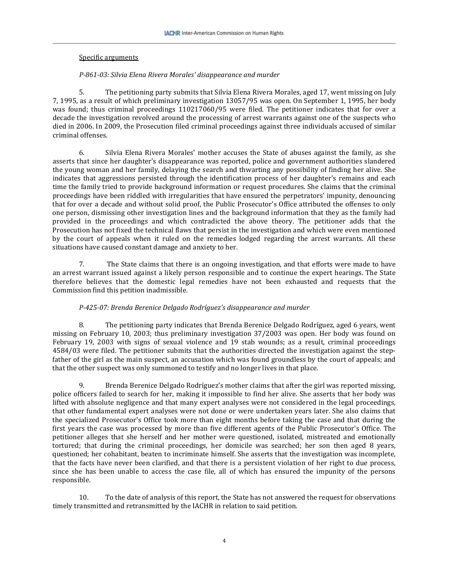# Specific arguments

# *P-861-03: Silvia Elena Rivera Morales' disappearance and murder*

5. The petitioning party submits that Silvia Elena Rivera Morales, aged 17, went missing on July 7, 1995, as a result of which preliminary investigation 13057/95 was open. On September 1, 1995, her body was found; thus criminal proceedings 110217060/95 were filed. The petitioner indicates that for over a decade the investigation revolved around the processing of arrest warrants against one of the suspects who died in 2006. In 2009, the Prosecution filed criminal proceedings against three individuals accused of similar criminal offenses.

6. Silvia Elena Rivera Morales' mother accuses the State of abuses against the family, as she asserts that since her daughter's disappearance was reported, police and government authorities slandered the young woman and her family, delaying the search and thwarting any possibility of finding her alive. She indicates that aggressions persisted through the identification process of her daughter's remains and each time the family tried to provide background information or request procedures. She claims that the criminal proceedings have been riddled with irregularities that have ensured the perpetrators' impunity, denouncing that for over a decade and without solid proof, the Public Prosecutor's Office attributed the offenses to only one person, dismissing other investigation lines and the background information that they as the family had provided in the proceedings and which contradicted the above theory. The petitioner adds that the Prosecution has not fixed the technical flaws that persist in the investigation and which were even mentioned by the court of appeals when it ruled on the remedies lodged regarding the arrest warrants. All these situations have caused constant damage and anxiety to her.

7. The State claims that there is an ongoing investigation, and that efforts were made to have an arrest warrant issued against a likely person responsible and to continue the expert hearings. The State therefore believes that the domestic legal remedies have not been exhausted and requests that the Commission find this petition inadmissible.

# *P-425-07: Brenda Berenice Delgado Rodríguez's disappearance and murder*

8. The petitioning party indicates that Brenda Berenice Delgado Rodríguez, aged 6 years, went missing on February 10, 2003; thus preliminary investigation 37/2003 was open. Her body was found on February 19, 2003 with signs of sexual violence and 19 stab wounds; as a result, criminal proceedings 4584/03 were filed. The petitioner submits that the authorities directed the investigation against the stepfather of the girl as the main suspect, an accusation which was found groundless by the court of appeals; and that the other suspect was only summoned to testify and no longer lives in that place.

9. Brenda Berenice Delgado Rodríguez's mother claims that after the girl was reported missing, police officers failed to search for her, making it impossible to find her alive. She asserts that her body was lifted with absolute negligence and that many expert analyses were not considered in the legal proceedings, that other fundamental expert analyses were not done or were undertaken years later. She also claims that the specialized Prosecutor's Office took more than eight months before taking the case and that during the first years the case was processed by more than five different agents of the Public Prosecutor's Office. The petitioner alleges that she herself and her mother were questioned, isolated, mistreated and emotionally tortured; that during the criminal proceedings, her domicile was searched; her son then aged 8 years, questioned; her cohabitant, beaten to incriminate himself. She asserts that the investigation was incomplete, that the facts have never been clarified, and that there is a persistent violation of her right to due process, since she has been unable to access the case file, all of which has ensured the impunity of the persons responsible.

10. To the date of analysis of this report, the State has not answered the request for observations timely transmitted and retransmitted by the IACHR in relation to said petition.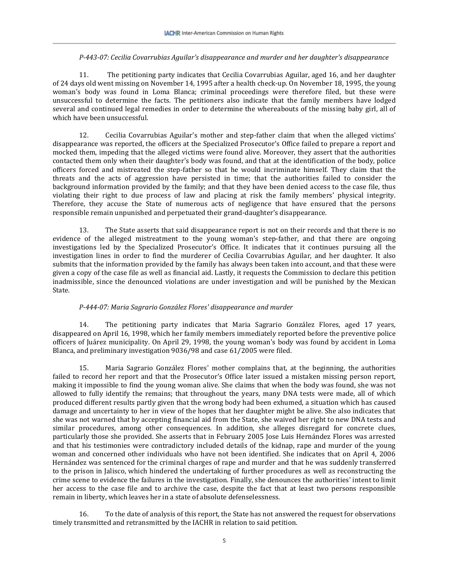# *P-443-07: Cecilia Covarrubias Aguilar's disappearance and murder and her daughter's disappearance*

11. The petitioning party indicates that Cecilia Covarrubias Aguilar, aged 16, and her daughter of 24 days old went missing on November 14, 1995 after a health check-up. On November 18, 1995, the young woman's body was found in Loma Blanca; criminal proceedings were therefore filed, but these were unsuccessful to determine the facts. The petitioners also indicate that the family members have lodged several and continued legal remedies in order to determine the whereabouts of the missing baby girl, all of which have been unsuccessful.

12. Cecilia Covarrubias Aguilar's mother and step-father claim that when the alleged victims' disappearance was reported, the officers at the Specialized Prosecutor's Office failed to prepare a report and mocked them, impeding that the alleged victims were found alive. Moreover, they assert that the authorities contacted them only when their daughter's body was found, and that at the identification of the body, police officers forced and mistreated the step-father so that he would incriminate himself. They claim that the threats and the acts of aggression have persisted in time; that the authorities failed to consider the background information provided by the family; and that they have been denied access to the case file, thus violating their right to due process of law and placing at risk the family members' physical integrity. Therefore, they accuse the State of numerous acts of negligence that have ensured that the persons responsible remain unpunished and perpetuated their grand-daughter's disappearance.

13. The State asserts that said disappearance report is not on their records and that there is no evidence of the alleged mistreatment to the young woman's step-father, and that there are ongoing investigations led by the Specialized Prosecutor's Office. It indicates that it continues pursuing all the investigation lines in order to find the murderer of Cecilia Covarrubias Aguilar, and her daughter. It also submits that the information provided by the family has always been taken into account, and that these were given a copy of the case file as well as financial aid. Lastly, it requests the Commission to declare this petition inadmissible, since the denounced violations are under investigation and will be punished by the Mexican State.

# *P-444-07: Maria Sagrario González Flores' disappearance and murder*

14. The petitioning party indicates that Maria Sagrario González Flores, aged 17 years, disappeared on April 16, 1998, which her family members immediately reported before the preventive police officers of Juárez municipality. On April 29, 1998, the young woman's body was found by accident in Loma Blanca, and preliminary investigation 9036/98 and case 61/2005 were filed.

15. Maria Sagrario González Flores' mother complains that, at the beginning, the authorities failed to record her report and that the Prosecutor's Office later issued a mistaken missing person report, making it impossible to find the young woman alive. She claims that when the body was found, she was not allowed to fully identify the remains; that throughout the years, many DNA tests were made, all of which produced different results partly given that the wrong body had been exhumed, a situation which has caused damage and uncertainty to her in view of the hopes that her daughter might be alive. She also indicates that she was not warned that by accepting financial aid from the State, she waived her right to new DNA tests and similar procedures, among other consequences. In addition, she alleges disregard for concrete clues, particularly those she provided. She asserts that in February 2005 Jose Luis Hernández Flores was arrested and that his testimonies were contradictory included details of the kidnap, rape and murder of the young woman and concerned other individuals who have not been identified. She indicates that on April 4, 2006 Hernández was sentenced for the criminal charges of rape and murder and that he was suddenly transferred to the prison in Jalisco, which hindered the undertaking of further procedures as well as reconstructing the crime scene to evidence the failures in the investigation. Finally, she denounces the authorities' intent to limit her access to the case file and to archive the case, despite the fact that at least two persons responsible remain in liberty, which leaves her in a state of absolute defenselessness.

16. To the date of analysis of this report, the State has not answered the request for observations timely transmitted and retransmitted by the IACHR in relation to said petition.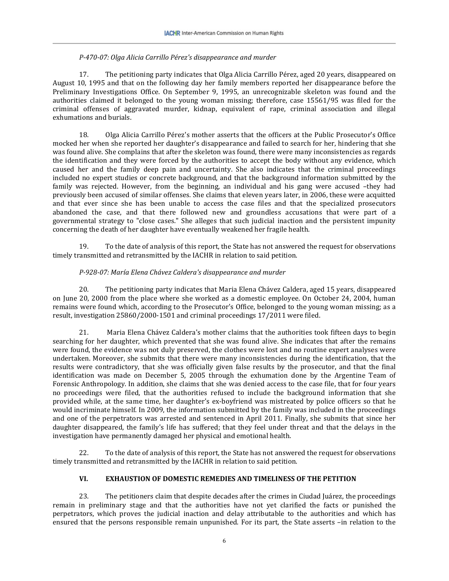#### *P-470-07: Olga Alicia Carrillo Pérez's disappearance and murder*

17. The petitioning party indicates that Olga Alicia Carrillo Pérez, aged 20 years, disappeared on August 10, 1995 and that on the following day her family members reported her disappearance before the Preliminary Investigations Office. On September 9, 1995, an unrecognizable skeleton was found and the authorities claimed it belonged to the young woman missing; therefore, case 15561/95 was filed for the criminal offenses of aggravated murder, kidnap, equivalent of rape, criminal association and illegal exhumations and burials.

18. Olga Alicia Carrillo Pérez's mother asserts that the officers at the Public Prosecutor's Office mocked her when she reported her daughter's disappearance and failed to search for her, hindering that she was found alive. She complains that after the skeleton was found, there were many inconsistencies as regards the identification and they were forced by the authorities to accept the body without any evidence, which caused her and the family deep pain and uncertainty. She also indicates that the criminal proceedings included no expert studies or concrete background, and that the background information submitted by the family was rejected. However, from the beginning, an individual and his gang were accused –they had previously been accused of similar offenses. She claims that eleven years later, in 2006, these were acquitted and that ever since she has been unable to access the case files and that the specialized prosecutors abandoned the case, and that there followed new and groundless accusations that were part of a governmental strategy to "close cases." She alleges that such judicial inaction and the persistent impunity concerning the death of her daughter have eventually weakened her fragile health.

19. To the date of analysis of this report, the State has not answered the request for observations timely transmitted and retransmitted by the IACHR in relation to said petition.

# *P-928-07: María Elena Chávez Caldera's disappearance and murder*

20. The petitioning party indicates that Maria Elena Chávez Caldera, aged 15 years, disappeared on June 20, 2000 from the place where she worked as a domestic employee. On October 24, 2004, human remains were found which, according to the Prosecutor's Office, belonged to the young woman missing; as a result, investigation 25860/2000-1501 and criminal proceedings 17/2011 were filed.

21. Maria Elena Chávez Caldera's mother claims that the authorities took fifteen days to begin searching for her daughter, which prevented that she was found alive. She indicates that after the remains were found, the evidence was not duly preserved, the clothes were lost and no routine expert analyses were undertaken. Moreover, she submits that there were many inconsistencies during the identification, that the results were contradictory, that she was officially given false results by the prosecutor, and that the final identification was made on December 5, 2005 through the exhumation done by the Argentine Team of Forensic Anthropology. In addition, she claims that she was denied access to the case file, that for four years no proceedings were filed, that the authorities refused to include the background information that she provided while, at the same time, her daughter's ex-boyfriend was mistreated by police officers so that he would incriminate himself. In 2009, the information submitted by the family was included in the proceedings and one of the perpetrators was arrested and sentenced in April 2011. Finally, she submits that since her daughter disappeared, the family's life has suffered; that they feel under threat and that the delays in the investigation have permanently damaged her physical and emotional health.

22. To the date of analysis of this report, the State has not answered the request for observations timely transmitted and retransmitted by the IACHR in relation to said petition.

# **VI. EXHAUSTION OF DOMESTIC REMEDIES AND TIMELINESS OF THE PETITION**

23. The petitioners claim that despite decades after the crimes in Ciudad Juárez, the proceedings remain in preliminary stage and that the authorities have not yet clarified the facts or punished the perpetrators, which proves the judicial inaction and delay attributable to the authorities and which has ensured that the persons responsible remain unpunished. For its part, the State asserts –in relation to the